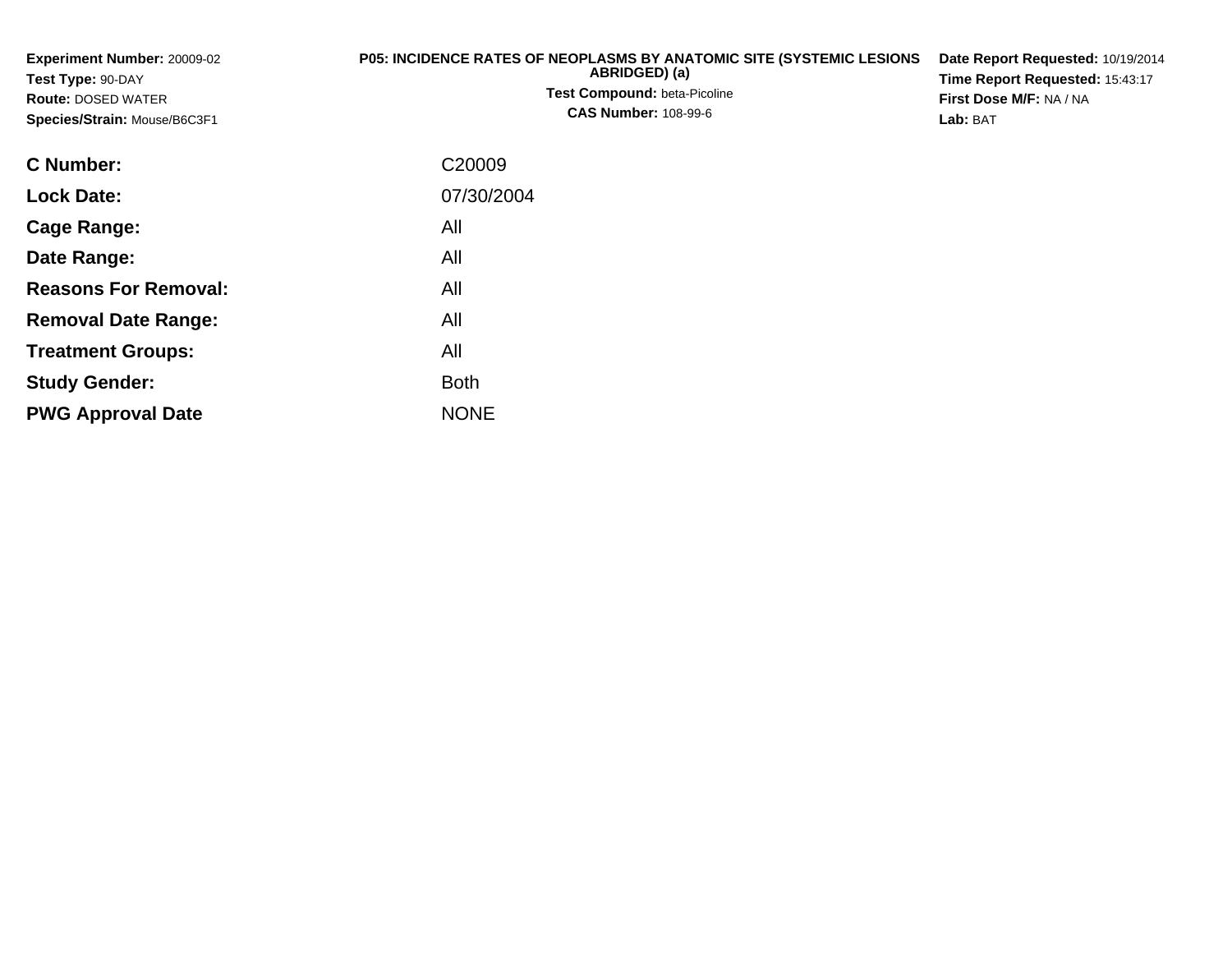| <b>Experiment Number: 20009-02</b> | <b>P05: INCIDENCE RATES OF NEOPLASMS BY ANATOMIC SITE (SYSTEMIC LESIONS)</b> | Date Report Requested: 10/19/2014 |
|------------------------------------|------------------------------------------------------------------------------|-----------------------------------|
| <b>Test Type: 90-DAY</b>           | ABRIDGED) (a)                                                                | Time Report Requested: 15:43:17   |
| <b>Route: DOSED WATER</b>          | <b>Test Compound: beta-Picoline</b>                                          | <b>First Dose M/F: NA / NA</b>    |
| Species/Strain: Mouse/B6C3F1       | <b>CAS Number: 108-99-6</b>                                                  | Lab: BAT                          |
| <b>C</b> Number:                   | C20009                                                                       |                                   |

| C Number:                   | C <sub>20009</sub> |
|-----------------------------|--------------------|
| <b>Lock Date:</b>           | 07/30/2004         |
| Cage Range:                 | All                |
| Date Range:                 | All                |
| <b>Reasons For Removal:</b> | All                |
| <b>Removal Date Range:</b>  | All                |
| <b>Treatment Groups:</b>    | All                |
| <b>Study Gender:</b>        | <b>Both</b>        |
| <b>PWG Approval Date</b>    | <b>NONE</b>        |
|                             |                    |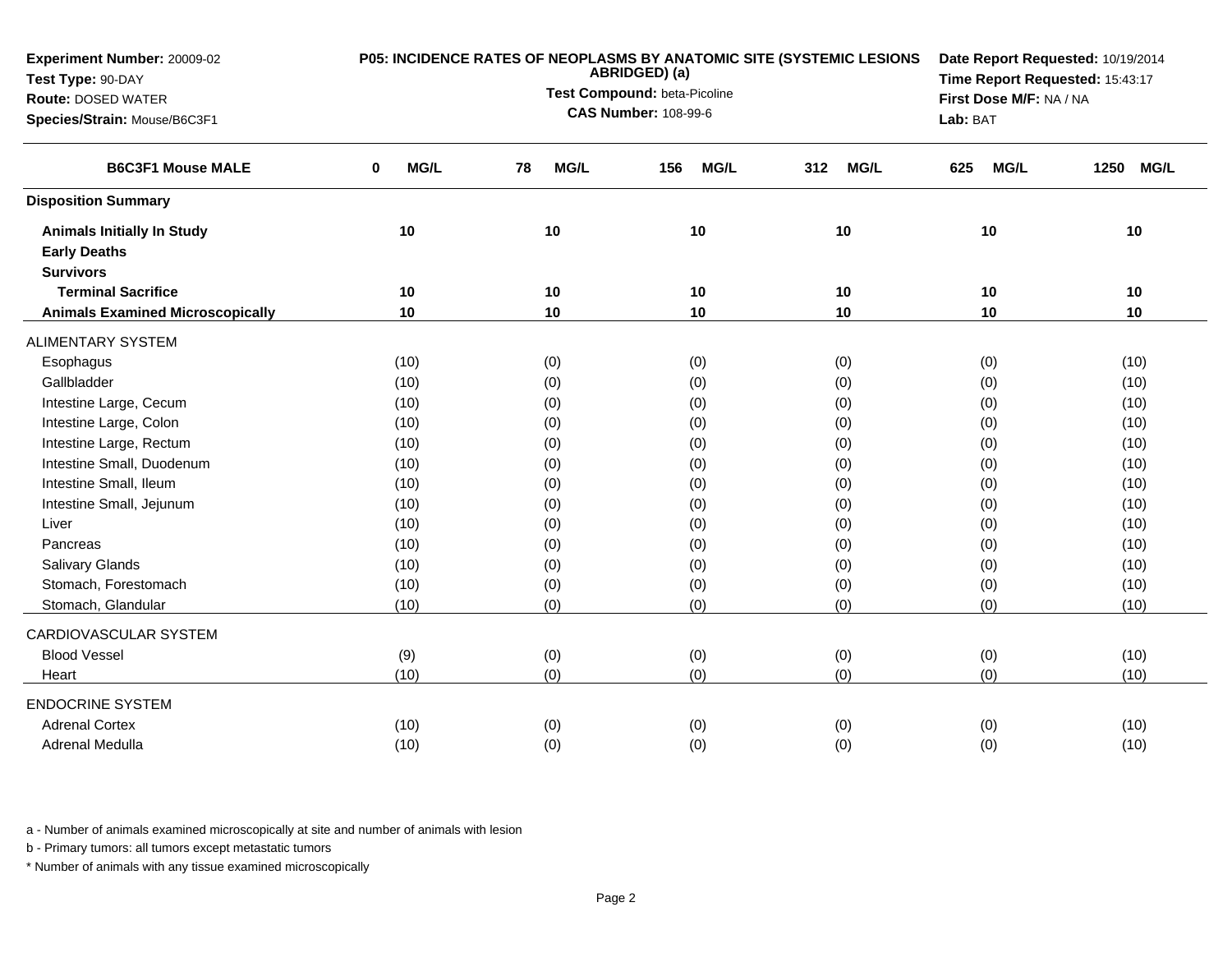| Experiment Number: 20009-02             |           | P05: INCIDENCE RATES OF NEOPLASMS BY ANATOMIC SITE (SYSTEMIC LESIONS<br>ABRIDGED) (a) | Date Report Requested: 10/19/2014 |                         |                    |                     |
|-----------------------------------------|-----------|---------------------------------------------------------------------------------------|-----------------------------------|-------------------------|--------------------|---------------------|
| Test Type: 90-DAY                       |           | Test Compound: beta-Picoline                                                          | Time Report Requested: 15:43:17   |                         |                    |                     |
| <b>Route: DOSED WATER</b>               |           | <b>CAS Number: 108-99-6</b>                                                           |                                   | First Dose M/F: NA / NA |                    |                     |
| Species/Strain: Mouse/B6C3F1            |           |                                                                                       |                                   | Lab: BAT                |                    |                     |
| <b>B6C3F1 Mouse MALE</b>                | MG/L<br>0 | <b>MG/L</b><br>78                                                                     | <b>MG/L</b><br>156                | <b>MG/L</b><br>312      | <b>MG/L</b><br>625 | 1250<br><b>MG/L</b> |
| <b>Disposition Summary</b>              |           |                                                                                       |                                   |                         |                    |                     |
| <b>Animals Initially In Study</b>       | 10        | 10                                                                                    | 10                                | 10                      | 10                 | 10                  |
| <b>Early Deaths</b>                     |           |                                                                                       |                                   |                         |                    |                     |
| <b>Survivors</b>                        |           |                                                                                       |                                   |                         |                    |                     |
| <b>Terminal Sacrifice</b>               | 10        | 10                                                                                    | 10                                | 10                      | 10                 | 10                  |
| <b>Animals Examined Microscopically</b> | 10        | 10                                                                                    | 10                                | 10                      | 10                 | 10                  |
| <b>ALIMENTARY SYSTEM</b>                |           |                                                                                       |                                   |                         |                    |                     |
| Esophagus                               | (10)      | (0)                                                                                   | (0)                               | (0)                     | (0)                | (10)                |
| Gallbladder                             | (10)      | (0)                                                                                   | (0)                               | (0)                     | (0)                | (10)                |
| Intestine Large, Cecum                  | (10)      | (0)                                                                                   | (0)                               | (0)                     | (0)                | (10)                |
| Intestine Large, Colon                  | (10)      | (0)                                                                                   | (0)                               | (0)                     | (0)                | (10)                |
| Intestine Large, Rectum                 | (10)      | (0)                                                                                   | (0)                               | (0)                     | (0)                | (10)                |
| Intestine Small, Duodenum               | (10)      | (0)                                                                                   | (0)                               | (0)                     | (0)                | (10)                |
| Intestine Small, Ileum                  | (10)      | (0)                                                                                   | (0)                               | (0)                     | (0)                | (10)                |
| Intestine Small, Jejunum                | (10)      | (0)                                                                                   | (0)                               | (0)                     | (0)                | (10)                |
| Liver                                   | (10)      | (0)                                                                                   | (0)                               | (0)                     | (0)                | (10)                |
| Pancreas                                | (10)      | (0)                                                                                   | (0)                               | (0)                     | (0)                | (10)                |
| <b>Salivary Glands</b>                  | (10)      | (0)                                                                                   | (0)                               | (0)                     | (0)                | (10)                |
| Stomach, Forestomach                    | (10)      | (0)                                                                                   | (0)                               | (0)                     | (0)                | (10)                |
| Stomach, Glandular                      | (10)      | (0)                                                                                   | (0)                               | (0)                     | (0)                | (10)                |
| CARDIOVASCULAR SYSTEM                   |           |                                                                                       |                                   |                         |                    |                     |
| <b>Blood Vessel</b>                     | (9)       | (0)                                                                                   | (0)                               | (0)                     | (0)                | (10)                |
| Heart                                   | (10)      | (0)                                                                                   | (0)                               | (0)                     | (0)                | (10)                |
| <b>ENDOCRINE SYSTEM</b>                 |           |                                                                                       |                                   |                         |                    |                     |
| <b>Adrenal Cortex</b>                   | (10)      | (0)                                                                                   | (0)                               | (0)                     | (0)                | (10)                |
| Adrenal Medulla                         | (10)      | (0)                                                                                   | (0)                               | (0)                     | (0)                | (10)                |

b - Primary tumors: all tumors except metastatic tumors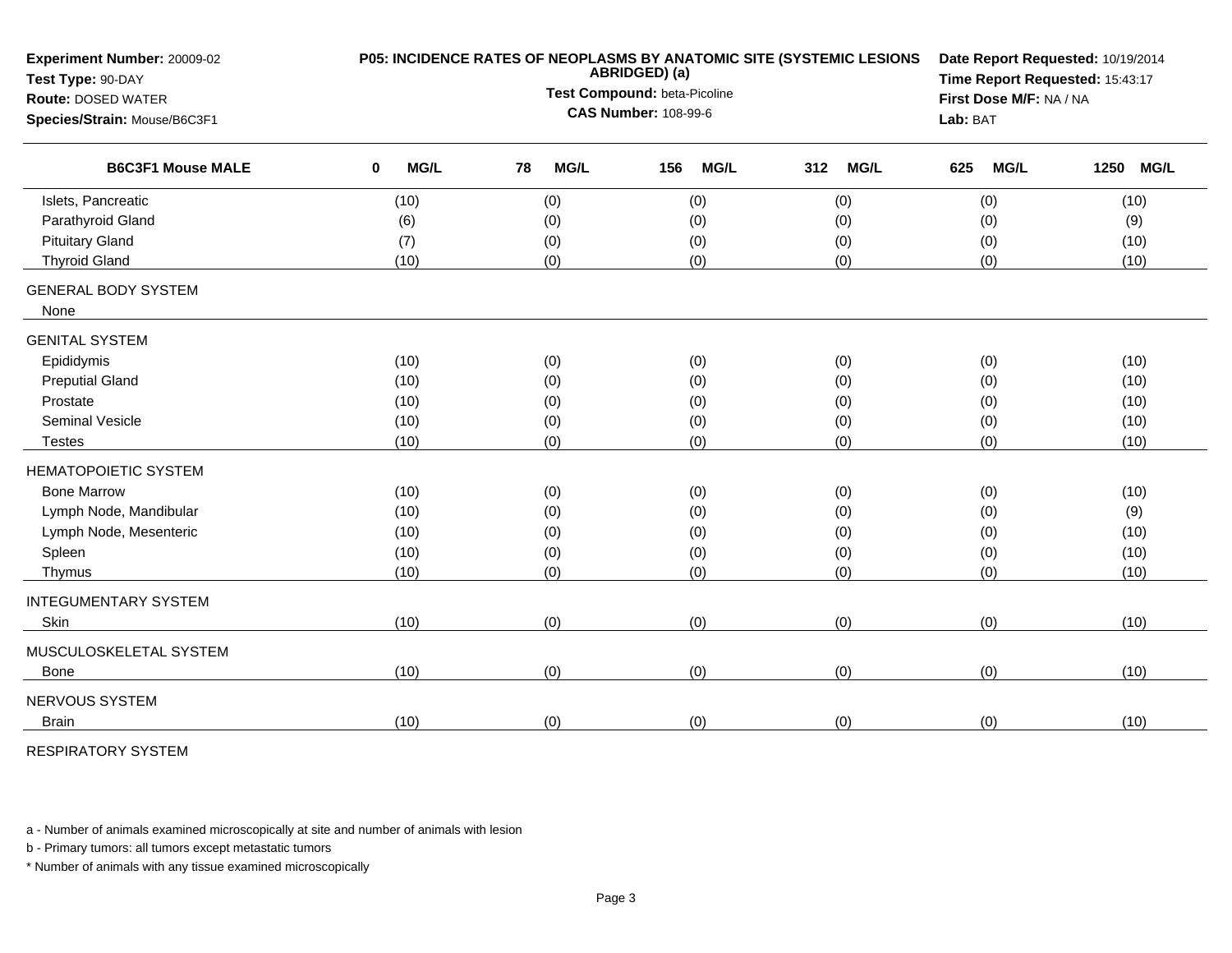| Experiment Number: 20009-02<br>Test Type: 90-DAY         | P05: INCIDENCE RATES OF NEOPLASMS BY ANATOMIC SITE (SYSTEMIC LESIONS<br>ABRIDGED) (a) |                                                             |    |             |     |             |     |             |     | Date Report Requested: 10/19/2014<br>Time Report Requested: 15:43:17 |                                     |             |  |
|----------------------------------------------------------|---------------------------------------------------------------------------------------|-------------------------------------------------------------|----|-------------|-----|-------------|-----|-------------|-----|----------------------------------------------------------------------|-------------------------------------|-------------|--|
| <b>Route: DOSED WATER</b>                                |                                                                                       | Test Compound: beta-Picoline<br><b>CAS Number: 108-99-6</b> |    |             |     |             |     |             |     |                                                                      | First Dose M/F: NA / NA<br>Lab: BAT |             |  |
| Species/Strain: Mouse/B6C3F1<br><b>B6C3F1 Mouse MALE</b> |                                                                                       |                                                             |    |             |     |             |     |             |     |                                                                      |                                     |             |  |
|                                                          | $\mathbf 0$                                                                           | <b>MG/L</b>                                                 | 78 | <b>MG/L</b> | 156 | <b>MG/L</b> | 312 | <b>MG/L</b> | 625 | <b>MG/L</b>                                                          | 1250                                | <b>MG/L</b> |  |
| Islets, Pancreatic                                       |                                                                                       | (10)                                                        |    | (0)         |     | (0)         |     | (0)         |     | (0)                                                                  | (10)                                |             |  |
| Parathyroid Gland                                        |                                                                                       | (6)                                                         |    | (0)         |     | (0)         |     | (0)         |     | (0)                                                                  | (9)                                 |             |  |
| <b>Pituitary Gland</b>                                   |                                                                                       | (7)                                                         |    | (0)         |     | (0)         |     | (0)         |     | (0)                                                                  | (10)                                |             |  |
| <b>Thyroid Gland</b>                                     |                                                                                       | (10)                                                        |    | (0)         |     | (0)         |     | (0)         |     | (0)                                                                  | (10)                                |             |  |
| <b>GENERAL BODY SYSTEM</b><br>None                       |                                                                                       |                                                             |    |             |     |             |     |             |     |                                                                      |                                     |             |  |
| <b>GENITAL SYSTEM</b>                                    |                                                                                       |                                                             |    |             |     |             |     |             |     |                                                                      |                                     |             |  |
| Epididymis                                               |                                                                                       | (10)                                                        |    | (0)         |     | (0)         |     | (0)         |     | (0)                                                                  | (10)                                |             |  |
| <b>Preputial Gland</b>                                   |                                                                                       | (10)                                                        |    | (0)         |     | (0)         |     | (0)         |     | (0)                                                                  | (10)                                |             |  |
| Prostate                                                 |                                                                                       | (10)                                                        |    | (0)         |     | (0)         |     | (0)         |     | (0)                                                                  | (10)                                |             |  |
| <b>Seminal Vesicle</b>                                   |                                                                                       | (10)                                                        |    | (0)         |     | (0)         |     | (0)         |     | (0)                                                                  | (10)                                |             |  |
| <b>Testes</b>                                            |                                                                                       | (10)                                                        |    | (0)         |     | (0)         |     | (0)         |     | (0)                                                                  | (10)                                |             |  |
| <b>HEMATOPOIETIC SYSTEM</b>                              |                                                                                       |                                                             |    |             |     |             |     |             |     |                                                                      |                                     |             |  |
| <b>Bone Marrow</b>                                       |                                                                                       | (10)                                                        |    | (0)         |     | (0)         |     | (0)         |     | (0)                                                                  | (10)                                |             |  |
| Lymph Node, Mandibular                                   |                                                                                       | (10)                                                        |    | (0)         |     | (0)         |     | (0)         |     | (0)                                                                  | (9)                                 |             |  |
| Lymph Node, Mesenteric                                   |                                                                                       | (10)                                                        |    | (0)         |     | (0)         |     | (0)         |     | (0)                                                                  | (10)                                |             |  |
| Spleen                                                   |                                                                                       | (10)                                                        |    | (0)         |     | (0)         |     | (0)         |     | (0)                                                                  | (10)                                |             |  |
| Thymus                                                   |                                                                                       | (10)                                                        |    | (0)         |     | (0)         |     | (0)         |     | (0)                                                                  | (10)                                |             |  |
| <b>INTEGUMENTARY SYSTEM</b>                              |                                                                                       |                                                             |    |             |     |             |     |             |     |                                                                      |                                     |             |  |
| Skin                                                     |                                                                                       | (10)                                                        |    | (0)         |     | (0)         |     | (0)         |     | (0)                                                                  | (10)                                |             |  |
| MUSCULOSKELETAL SYSTEM                                   |                                                                                       |                                                             |    |             |     |             |     |             |     |                                                                      |                                     |             |  |
| <b>Bone</b>                                              |                                                                                       | (10)                                                        |    | (0)         |     | (0)         |     | (0)         |     | (0)                                                                  | (10)                                |             |  |
| NERVOUS SYSTEM                                           |                                                                                       |                                                             |    |             |     |             |     |             |     |                                                                      |                                     |             |  |
| <b>Brain</b>                                             |                                                                                       | (10)                                                        |    | (0)         |     | (0)         |     | (0)         |     | (0)                                                                  | (10)                                |             |  |
|                                                          |                                                                                       |                                                             |    |             |     |             |     |             |     |                                                                      |                                     |             |  |

RESPIRATORY SYSTEM

a - Number of animals examined microscopically at site and number of animals with lesion

b - Primary tumors: all tumors except metastatic tumors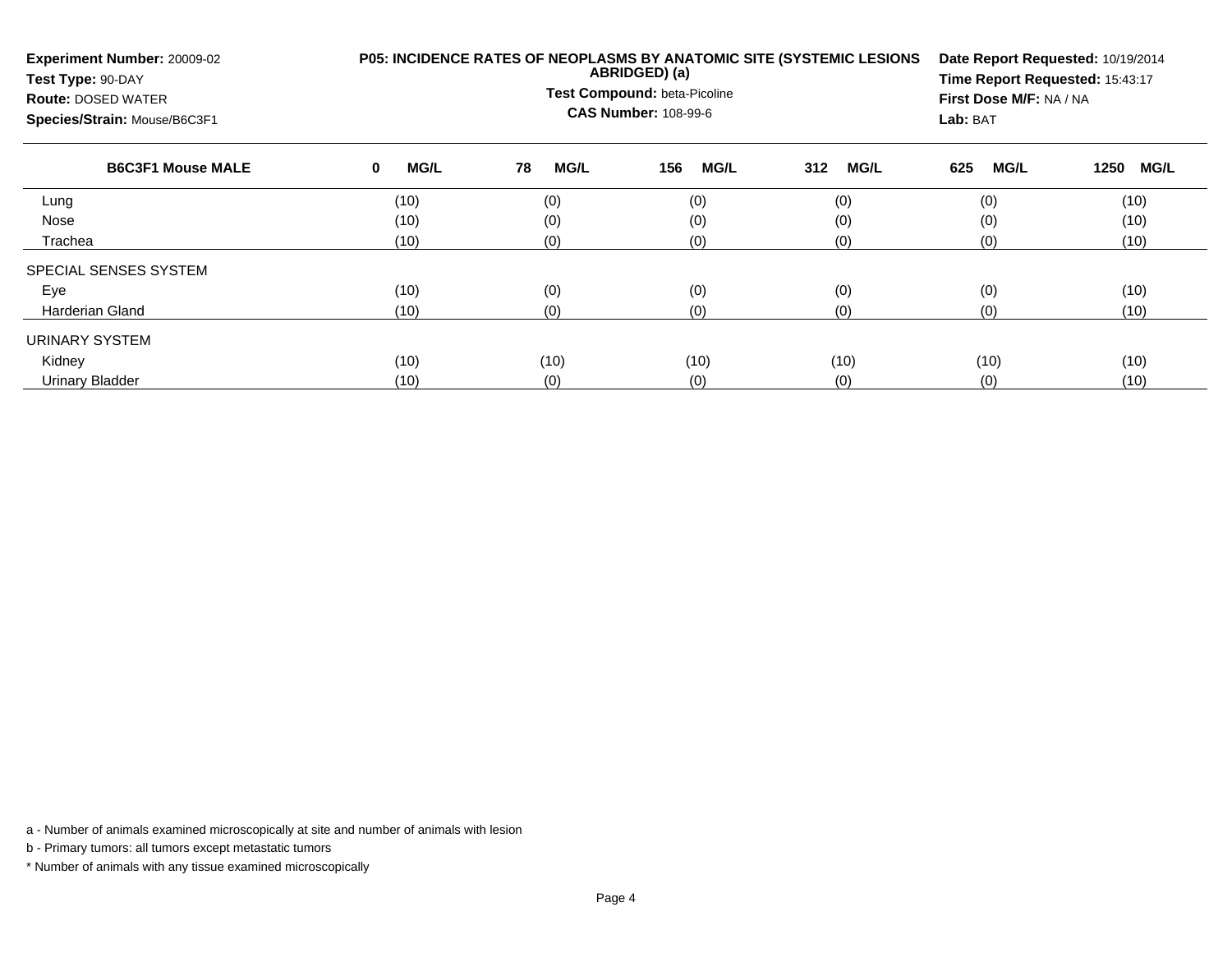| Experiment Number: 20009-02<br>Test Type: 90-DAY<br><b>Route: DOSED WATER</b><br>Species/Strain: Mouse/B6C3F1 |                  | P05: INCIDENCE RATES OF NEOPLASMS BY ANATOMIC SITE (SYSTEMIC LESIONS<br>ABRIDGED) (a)<br>Test Compound: beta-Picoline<br><b>CAS Number: 108-99-6</b> | Date Report Requested: 10/19/2014<br>Time Report Requested: 15:43:17<br>First Dose M/F: NA / NA<br>Lab: BAT |                    |                    |                     |
|---------------------------------------------------------------------------------------------------------------|------------------|------------------------------------------------------------------------------------------------------------------------------------------------------|-------------------------------------------------------------------------------------------------------------|--------------------|--------------------|---------------------|
| <b>B6C3F1 Mouse MALE</b>                                                                                      | <b>MG/L</b><br>0 | <b>MG/L</b><br>78                                                                                                                                    | <b>MG/L</b><br>156                                                                                          | <b>MG/L</b><br>312 | <b>MG/L</b><br>625 | <b>MG/L</b><br>1250 |
| Lung                                                                                                          | (10)             | (0)                                                                                                                                                  | (0)                                                                                                         | (0)                | (0)                | (10)                |
| Nose                                                                                                          | (10)             | (0)                                                                                                                                                  | (0)                                                                                                         | (0)                | (0)                | (10)                |
| Trachea                                                                                                       | (10)             | (0)                                                                                                                                                  | (0)                                                                                                         | (0)                | (0)                | (10)                |
| SPECIAL SENSES SYSTEM                                                                                         |                  |                                                                                                                                                      |                                                                                                             |                    |                    |                     |
| Eye                                                                                                           | (10)             | (0)                                                                                                                                                  | (0)                                                                                                         | (0)                | (0)                | (10)                |
| <b>Harderian Gland</b>                                                                                        | (10)             | (0)                                                                                                                                                  | (0)                                                                                                         | (0)                | (0)                | (10)                |
| URINARY SYSTEM                                                                                                |                  |                                                                                                                                                      |                                                                                                             |                    |                    |                     |
| Kidney                                                                                                        | (10)             | (10)                                                                                                                                                 | (10)                                                                                                        | (10)               | (10)               | (10)                |
| <b>Urinary Bladder</b>                                                                                        | (10)             | (0)                                                                                                                                                  | (0)                                                                                                         | (0)                | (0)                | (10)                |

b - Primary tumors: all tumors except metastatic tumors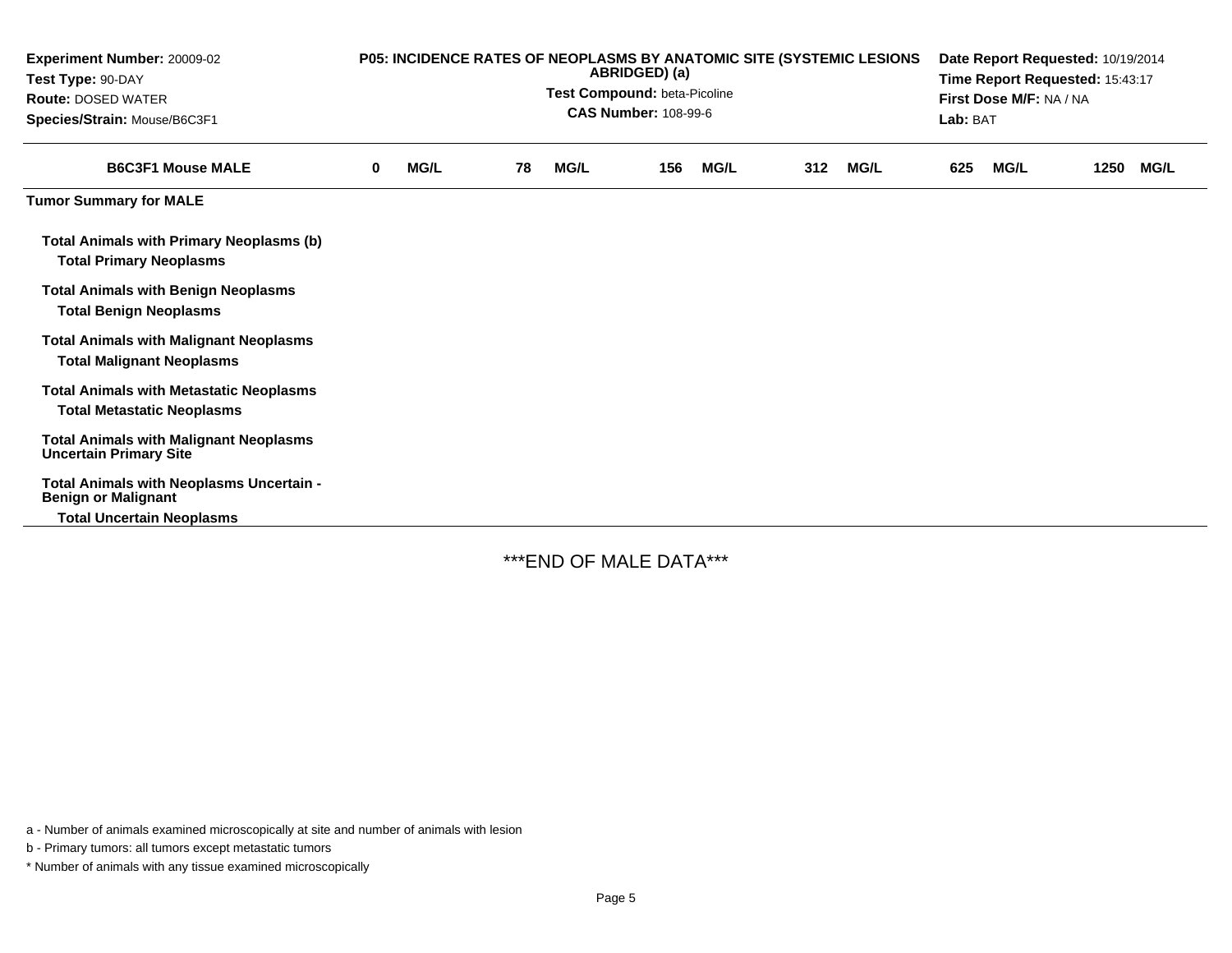| Experiment Number: 20009-02<br>Test Type: 90-DAY<br><b>Route: DOSED WATER</b><br>Species/Strain: Mouse/B6C3F1 | <b>P05: INCIDENCE RATES OF NEOPLASMS BY ANATOMIC SITE (SYSTEMIC LESIONS</b><br>ABRIDGED) (a)<br>Test Compound: beta-Picoline<br><b>CAS Number: 108-99-6</b> |      |    |             |     |             |     | Date Report Requested: 10/19/2014<br>Time Report Requested: 15:43:17<br>First Dose M/F: NA / NA<br>Lab: BAT |     |             |      |             |
|---------------------------------------------------------------------------------------------------------------|-------------------------------------------------------------------------------------------------------------------------------------------------------------|------|----|-------------|-----|-------------|-----|-------------------------------------------------------------------------------------------------------------|-----|-------------|------|-------------|
| <b>B6C3F1 Mouse MALE</b>                                                                                      | 0                                                                                                                                                           | MG/L | 78 | <b>MG/L</b> | 156 | <b>MG/L</b> | 312 | <b>MG/L</b>                                                                                                 | 625 | <b>MG/L</b> | 1250 | <b>MG/L</b> |
| <b>Tumor Summary for MALE</b>                                                                                 |                                                                                                                                                             |      |    |             |     |             |     |                                                                                                             |     |             |      |             |
| <b>Total Animals with Primary Neoplasms (b)</b><br><b>Total Primary Neoplasms</b>                             |                                                                                                                                                             |      |    |             |     |             |     |                                                                                                             |     |             |      |             |
| <b>Total Animals with Benign Neoplasms</b><br><b>Total Benign Neoplasms</b>                                   |                                                                                                                                                             |      |    |             |     |             |     |                                                                                                             |     |             |      |             |
| <b>Total Animals with Malignant Neoplasms</b><br><b>Total Malignant Neoplasms</b>                             |                                                                                                                                                             |      |    |             |     |             |     |                                                                                                             |     |             |      |             |
| <b>Total Animals with Metastatic Neoplasms</b><br><b>Total Metastatic Neoplasms</b>                           |                                                                                                                                                             |      |    |             |     |             |     |                                                                                                             |     |             |      |             |
| <b>Total Animals with Malignant Neoplasms</b><br><b>Uncertain Primary Site</b>                                |                                                                                                                                                             |      |    |             |     |             |     |                                                                                                             |     |             |      |             |
| Total Animals with Neoplasms Uncertain -<br><b>Benign or Malignant</b><br><b>Total Uncertain Neoplasms</b>    |                                                                                                                                                             |      |    |             |     |             |     |                                                                                                             |     |             |      |             |

\*\*\*END OF MALE DATA\*\*\*

a - Number of animals examined microscopically at site and number of animals with lesion

b - Primary tumors: all tumors except metastatic tumors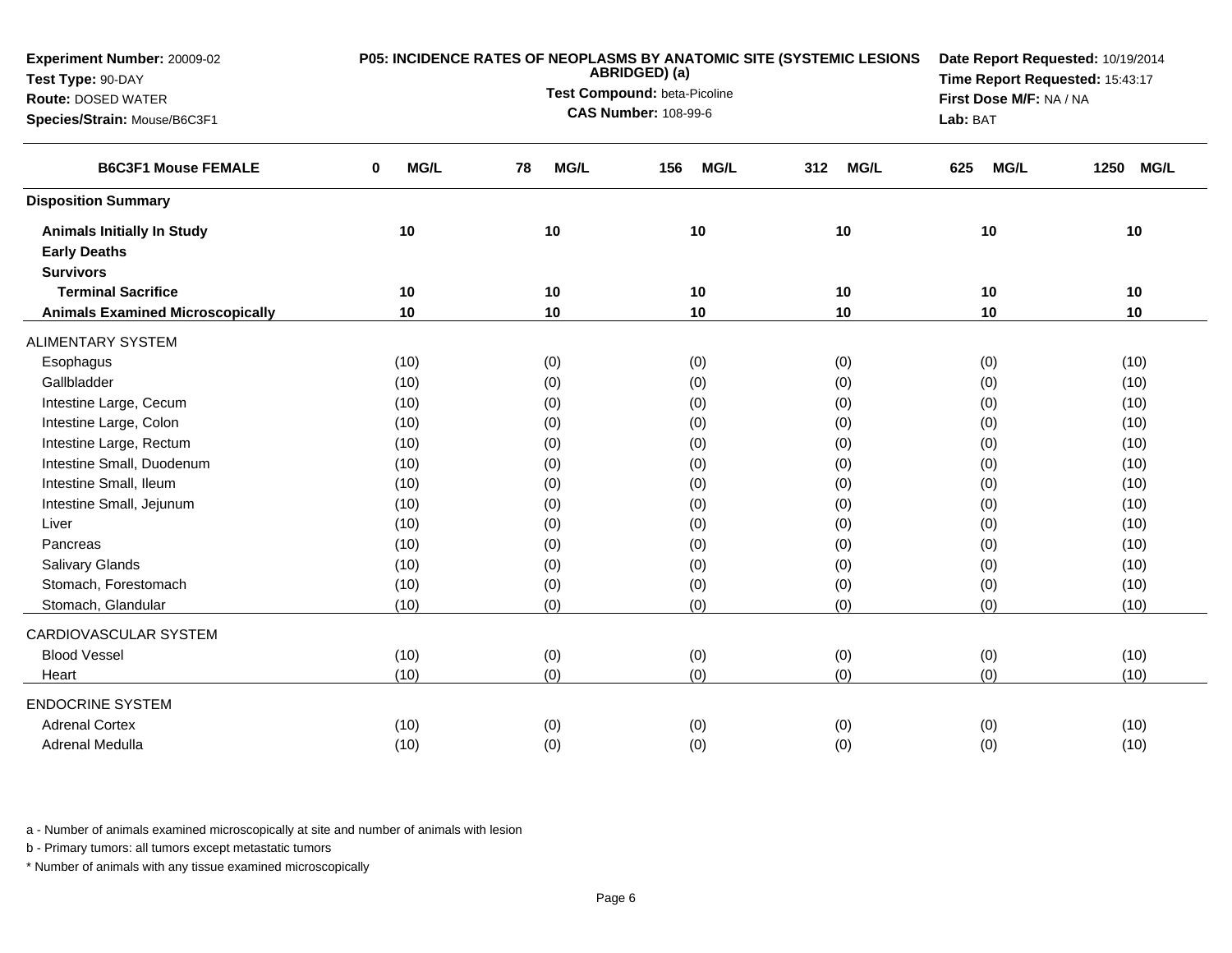| Experiment Number: 20009-02             | P05: INCIDENCE RATES OF NEOPLASMS BY ANATOMIC SITE (SYSTEMIC LESIONS | Date Report Requested: 10/19/2014             |                    |                                 |                    |                     |
|-----------------------------------------|----------------------------------------------------------------------|-----------------------------------------------|--------------------|---------------------------------|--------------------|---------------------|
| Test Type: 90-DAY                       |                                                                      | ABRIDGED) (a)<br>Test Compound: beta-Picoline |                    | Time Report Requested: 15:43:17 |                    |                     |
| <b>Route: DOSED WATER</b>               |                                                                      | <b>CAS Number: 108-99-6</b>                   |                    | First Dose M/F: NA / NA         |                    |                     |
| Species/Strain: Mouse/B6C3F1            |                                                                      |                                               |                    | Lab: BAT                        |                    |                     |
| <b>B6C3F1 Mouse FEMALE</b>              | MG/L<br>0                                                            | MG/L<br>78                                    | <b>MG/L</b><br>156 | <b>MG/L</b><br>312              | <b>MG/L</b><br>625 | 1250<br><b>MG/L</b> |
| <b>Disposition Summary</b>              |                                                                      |                                               |                    |                                 |                    |                     |
| <b>Animals Initially In Study</b>       | 10                                                                   | 10                                            | 10                 | 10                              | 10                 | 10                  |
| <b>Early Deaths</b>                     |                                                                      |                                               |                    |                                 |                    |                     |
| <b>Survivors</b>                        |                                                                      |                                               |                    |                                 |                    |                     |
| <b>Terminal Sacrifice</b>               | 10                                                                   | 10                                            | 10                 | 10                              | 10                 | 10                  |
| <b>Animals Examined Microscopically</b> | 10                                                                   | 10                                            | 10                 | 10                              | 10                 | 10                  |
| <b>ALIMENTARY SYSTEM</b>                |                                                                      |                                               |                    |                                 |                    |                     |
| Esophagus                               | (10)                                                                 | (0)                                           | (0)                | (0)                             | (0)                | (10)                |
| Gallbladder                             | (10)                                                                 | (0)                                           | (0)                | (0)                             | (0)                | (10)                |
| Intestine Large, Cecum                  | (10)                                                                 | (0)                                           | (0)                | (0)                             | (0)                | (10)                |
| Intestine Large, Colon                  | (10)                                                                 | (0)                                           | (0)                | (0)                             | (0)                | (10)                |
| Intestine Large, Rectum                 | (10)                                                                 | (0)                                           | (0)                | (0)                             | (0)                | (10)                |
| Intestine Small, Duodenum               | (10)                                                                 | (0)                                           | (0)                | (0)                             | (0)                | (10)                |
| Intestine Small, Ileum                  | (10)                                                                 | (0)                                           | (0)                | (0)                             | (0)                | (10)                |
| Intestine Small, Jejunum                | (10)                                                                 | (0)                                           | (0)                | (0)                             | (0)                | (10)                |
| Liver                                   | (10)                                                                 | (0)                                           | (0)                | (0)                             | (0)                | (10)                |
| Pancreas                                | (10)                                                                 | (0)                                           | (0)                | (0)                             | (0)                | (10)                |
| <b>Salivary Glands</b>                  | (10)                                                                 | (0)                                           | (0)                | (0)                             | (0)                | (10)                |
| Stomach, Forestomach                    | (10)                                                                 | (0)                                           | (0)                | (0)                             | (0)                | (10)                |
| Stomach, Glandular                      | (10)                                                                 | (0)                                           | (0)                | (0)                             | (0)                | (10)                |
| CARDIOVASCULAR SYSTEM                   |                                                                      |                                               |                    |                                 |                    |                     |
| <b>Blood Vessel</b>                     | (10)                                                                 | (0)                                           | (0)                | (0)                             | (0)                | (10)                |
| Heart                                   | (10)                                                                 | (0)                                           | (0)                | (0)                             | (0)                | (10)                |
| <b>ENDOCRINE SYSTEM</b>                 |                                                                      |                                               |                    |                                 |                    |                     |
| <b>Adrenal Cortex</b>                   | (10)                                                                 | (0)                                           | (0)                | (0)                             | (0)                | (10)                |
| Adrenal Medulla                         | (10)                                                                 | (0)                                           | (0)                | (0)                             | (0)                | (10)                |

b - Primary tumors: all tumors except metastatic tumors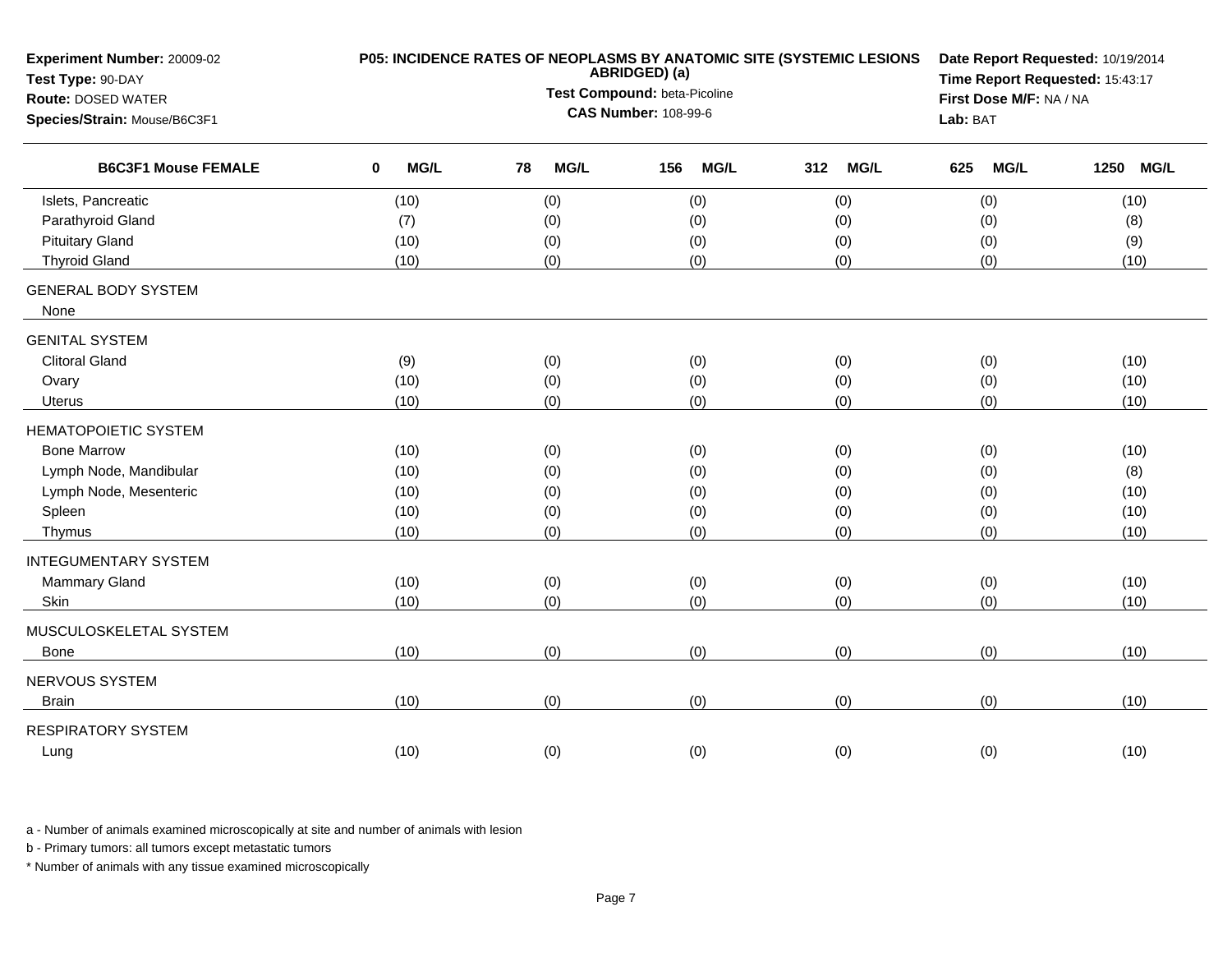| Experiment Number: 20009-02<br>Test Type: 90-DAY |                            | P05: INCIDENCE RATES OF NEOPLASMS BY ANATOMIC SITE (SYSTEMIC LESIONS<br>ABRIDGED) (a) | Date Report Requested: 10/19/2014<br>Time Report Requested: 15:43:17<br>First Dose M/F: NA / NA |                    |                    |                     |
|--------------------------------------------------|----------------------------|---------------------------------------------------------------------------------------|-------------------------------------------------------------------------------------------------|--------------------|--------------------|---------------------|
| <b>Route: DOSED WATER</b>                        |                            | Test Compound: beta-Picoline                                                          |                                                                                                 |                    |                    |                     |
| Species/Strain: Mouse/B6C3F1                     |                            | <b>CAS Number: 108-99-6</b>                                                           |                                                                                                 | Lab: BAT           |                    |                     |
| <b>B6C3F1 Mouse FEMALE</b>                       | $\mathbf 0$<br><b>MG/L</b> | MG/L<br>78                                                                            | <b>MG/L</b><br>156                                                                              | <b>MG/L</b><br>312 | <b>MG/L</b><br>625 | <b>MG/L</b><br>1250 |
| Islets, Pancreatic                               | (10)                       | (0)                                                                                   | (0)                                                                                             | (0)                | (0)                | (10)                |
| Parathyroid Gland                                | (7)                        | (0)                                                                                   | (0)                                                                                             | (0)                | (0)                | (8)                 |
| <b>Pituitary Gland</b>                           | (10)                       | (0)                                                                                   | (0)                                                                                             | (0)                | (0)                | (9)                 |
| <b>Thyroid Gland</b>                             | (10)                       | (0)                                                                                   | (0)                                                                                             | (0)                | (0)                | (10)                |
| <b>GENERAL BODY SYSTEM</b><br>None               |                            |                                                                                       |                                                                                                 |                    |                    |                     |
| <b>GENITAL SYSTEM</b>                            |                            |                                                                                       |                                                                                                 |                    |                    |                     |
| <b>Clitoral Gland</b>                            | (9)                        | (0)                                                                                   | (0)                                                                                             | (0)                | (0)                | (10)                |
| Ovary                                            | (10)                       | (0)                                                                                   | (0)                                                                                             | (0)                | (0)                | (10)                |
| <b>Uterus</b>                                    | (10)                       | (0)                                                                                   | (0)                                                                                             | (0)                | (0)                | (10)                |
| <b>HEMATOPOIETIC SYSTEM</b>                      |                            |                                                                                       |                                                                                                 |                    |                    |                     |
| <b>Bone Marrow</b>                               | (10)                       | (0)                                                                                   | (0)                                                                                             | (0)                | (0)                | (10)                |
| Lymph Node, Mandibular                           | (10)                       | (0)                                                                                   | (0)                                                                                             | (0)                | (0)                | (8)                 |
| Lymph Node, Mesenteric                           | (10)                       | (0)                                                                                   | (0)                                                                                             | (0)                | (0)                | (10)                |
| Spleen                                           | (10)                       | (0)                                                                                   | (0)                                                                                             | (0)                | (0)                | (10)                |
| Thymus                                           | (10)                       | (0)                                                                                   | (0)                                                                                             | (0)                | (0)                | (10)                |
| <b>INTEGUMENTARY SYSTEM</b>                      |                            |                                                                                       |                                                                                                 |                    |                    |                     |
| Mammary Gland                                    | (10)                       | (0)                                                                                   | (0)                                                                                             | (0)                | (0)                | (10)                |
| Skin                                             | (10)                       | (0)                                                                                   | (0)                                                                                             | (0)                | (0)                | (10)                |
| MUSCULOSKELETAL SYSTEM                           |                            |                                                                                       |                                                                                                 |                    |                    |                     |
| Bone                                             | (10)                       | (0)                                                                                   | (0)                                                                                             | (0)                | (0)                | (10)                |
| NERVOUS SYSTEM                                   |                            |                                                                                       |                                                                                                 |                    |                    |                     |
| <b>Brain</b>                                     | (10)                       | (0)                                                                                   | (0)                                                                                             | (0)                | (0)                | (10)                |
| <b>RESPIRATORY SYSTEM</b>                        |                            |                                                                                       |                                                                                                 |                    |                    |                     |
| Lung                                             | (10)                       | (0)                                                                                   | (0)                                                                                             | (0)                | (0)                | (10)                |

b - Primary tumors: all tumors except metastatic tumors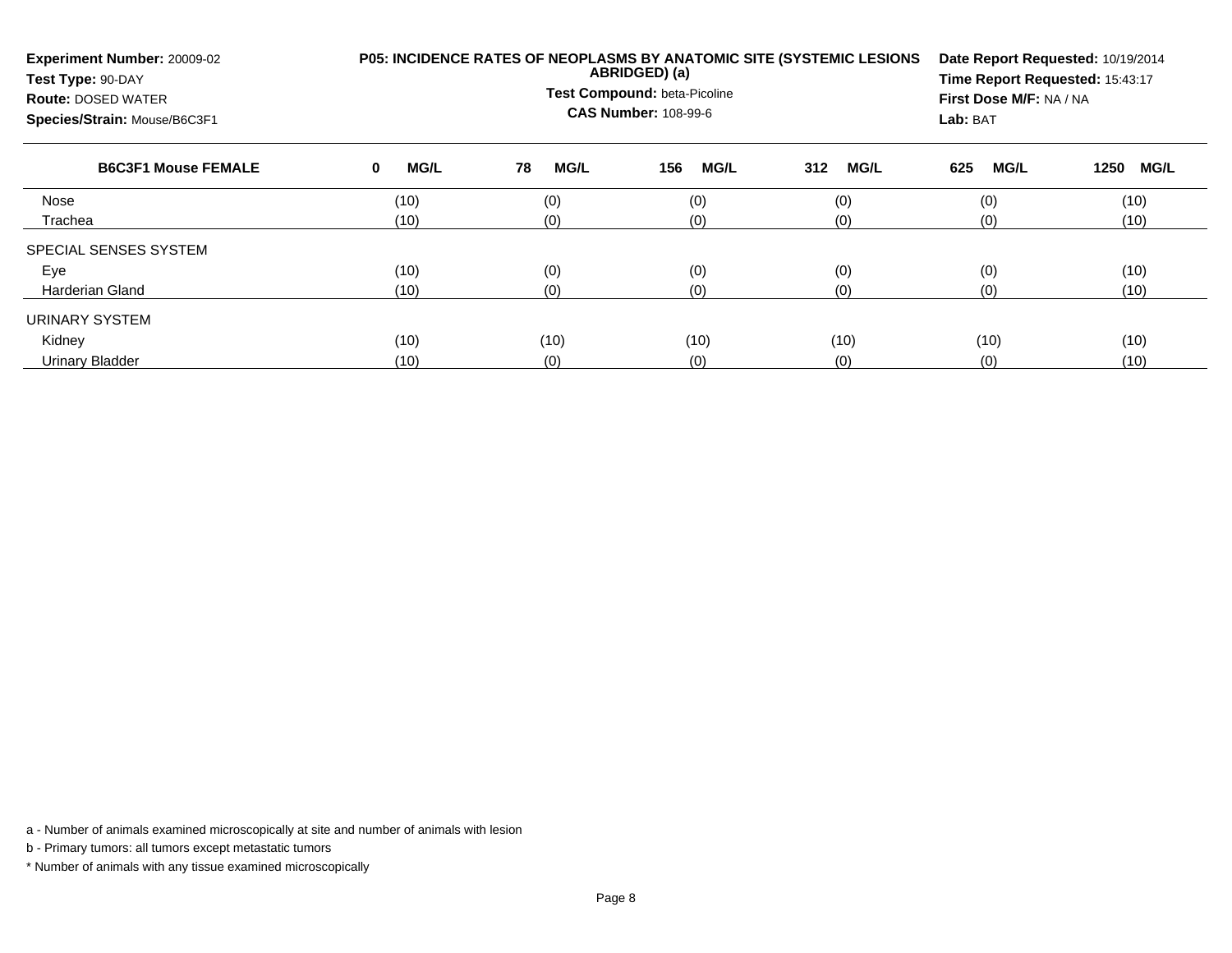| <b>Experiment Number: 20009-02</b><br>Test Type: 90-DAY<br><b>Route: DOSED WATER</b><br>Species/Strain: Mouse/B6C3F1 |           | <b>P05: INCIDENCE RATES OF NEOPLASMS BY ANATOMIC SITE (SYSTEMIC LESIONS)</b><br>ABRIDGED) (a)<br>Test Compound: beta-Picoline<br><b>CAS Number: 108-99-6</b> | Date Report Requested: 10/19/2014<br>Time Report Requested: 15:43:17<br>First Dose M/F: NA / NA<br>Lab: BAT |                    |             |                     |
|----------------------------------------------------------------------------------------------------------------------|-----------|--------------------------------------------------------------------------------------------------------------------------------------------------------------|-------------------------------------------------------------------------------------------------------------|--------------------|-------------|---------------------|
| <b>B6C3F1 Mouse FEMALE</b>                                                                                           | MG/L<br>0 | 78<br><b>MG/L</b>                                                                                                                                            | 156<br><b>MG/L</b>                                                                                          | <b>MG/L</b><br>312 | MG/L<br>625 | 1250<br><b>MG/L</b> |
| Nose                                                                                                                 | (10)      | (0)                                                                                                                                                          | (0)                                                                                                         | (0)                | (0)         | (10)                |
| Trachea                                                                                                              | (10)      | (0)                                                                                                                                                          | (0)                                                                                                         | (0)                | (0)         | (10)                |
| SPECIAL SENSES SYSTEM                                                                                                |           |                                                                                                                                                              |                                                                                                             |                    |             |                     |
| Eye                                                                                                                  | (10)      | (0)                                                                                                                                                          | (0)                                                                                                         | (0)                | (0)         | (10)                |
| <b>Harderian Gland</b>                                                                                               | (10)      | (0)                                                                                                                                                          | (0)                                                                                                         | (0)                | (0)         | (10)                |
| URINARY SYSTEM                                                                                                       |           |                                                                                                                                                              |                                                                                                             |                    |             |                     |
| Kidney                                                                                                               | (10)      | (10)                                                                                                                                                         | (10)                                                                                                        | (10)               | (10)        | (10)                |
| Urinary Bladder                                                                                                      | (10)      | (0)                                                                                                                                                          | (0)                                                                                                         | (0)                | (0)         | (10)                |

b - Primary tumors: all tumors except metastatic tumors